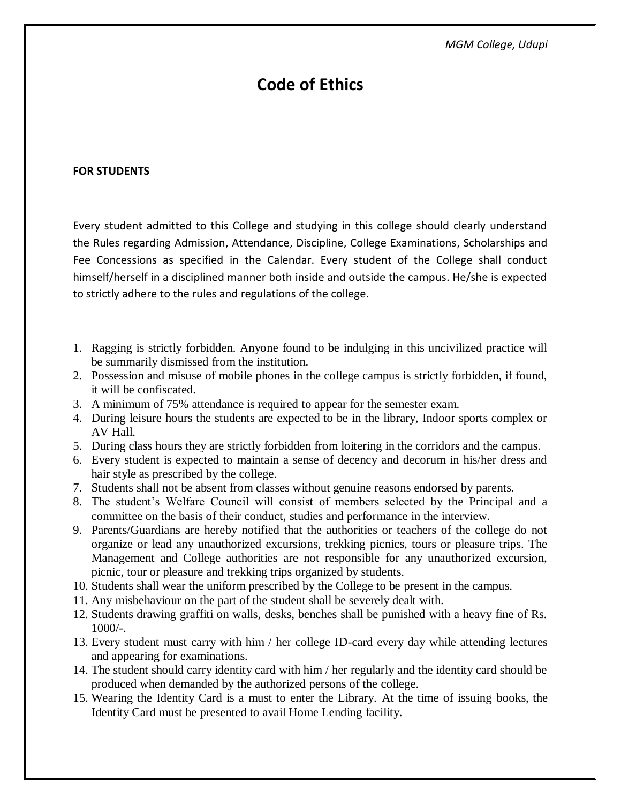# **Code of Ethics**

#### **FOR STUDENTS**

Every student admitted to this College and studying in this college should clearly understand the Rules regarding Admission, Attendance, Discipline, College Examinations, Scholarships and Fee Concessions as specified in the Calendar. Every student of the College shall conduct himself/herself in a disciplined manner both inside and outside the campus. He/she is expected to strictly adhere to the rules and regulations of the college.

- 1. Ragging is strictly forbidden. Anyone found to be indulging in this uncivilized practice will be summarily dismissed from the institution.
- 2. Possession and misuse of mobile phones in the college campus is strictly forbidden, if found, it will be confiscated.
- 3. A minimum of 75% attendance is required to appear for the semester exam.
- 4. During leisure hours the students are expected to be in the library, Indoor sports complex or AV Hall.
- 5. During class hours they are strictly forbidden from loitering in the corridors and the campus.
- 6. Every student is expected to maintain a sense of decency and decorum in his/her dress and hair style as prescribed by the college.
- 7. Students shall not be absent from classes without genuine reasons endorsed by parents.
- 8. The student's Welfare Council will consist of members selected by the Principal and a committee on the basis of their conduct, studies and performance in the interview.
- 9. Parents/Guardians are hereby notified that the authorities or teachers of the college do not organize or lead any unauthorized excursions, trekking picnics, tours or pleasure trips. The Management and College authorities are not responsible for any unauthorized excursion, picnic, tour or pleasure and trekking trips organized by students.
- 10. Students shall wear the uniform prescribed by the College to be present in the campus.
- 11. Any misbehaviour on the part of the student shall be severely dealt with.
- 12. Students drawing graffiti on walls, desks, benches shall be punished with a heavy fine of Rs.  $1000/-$ .
- 13. Every student must carry with him / her college ID-card every day while attending lectures and appearing for examinations.
- 14. The student should carry identity card with him / her regularly and the identity card should be produced when demanded by the authorized persons of the college.
- 15. Wearing the Identity Card is a must to enter the Library. At the time of issuing books, the Identity Card must be presented to avail Home Lending facility.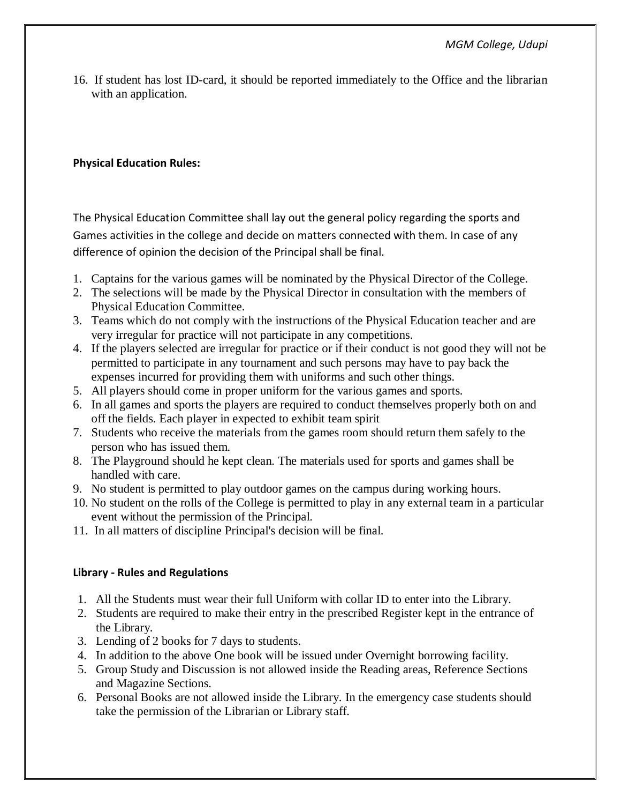16. If student has lost ID-card, it should be reported immediately to the Office and the librarian with an application.

## **Physical Education Rules:**

The Physical Education Committee shall lay out the general policy regarding the sports and Games activities in the college and decide on matters connected with them. In case of any difference of opinion the decision of the Principal shall be final.

- 1. Captains for the various games will be nominated by the Physical Director of the College.
- 2. The selections will be made by the Physical Director in consultation with the members of Physical Education Committee.
- 3. Teams which do not comply with the instructions of the Physical Education teacher and are very irregular for practice will not participate in any competitions.
- 4. If the players selected are irregular for practice or if their conduct is not good they will not be permitted to participate in any tournament and such persons may have to pay back the expenses incurred for providing them with uniforms and such other things.
- 5. All players should come in proper uniform for the various games and sports.
- 6. In all games and sports the players are required to conduct themselves properly both on and off the fields. Each player in expected to exhibit team spirit
- 7. Students who receive the materials from the games room should return them safely to the person who has issued them.
- 8. The Playground should he kept clean. The materials used for sports and games shall be handled with care.
- 9. No student is permitted to play outdoor games on the campus during working hours.
- 10. No student on the rolls of the College is permitted to play in any external team in a particular event without the permission of the Principal.
- 11. In all matters of discipline Principal's decision will be final.

## **Library - Rules and Regulations**

- 1. All the Students must wear their full Uniform with collar ID to enter into the Library.
- 2. Students are required to make their entry in the prescribed Register kept in the entrance of the Library.
- 3. Lending of 2 books for 7 days to students.
- 4. In addition to the above One book will be issued under Overnight borrowing facility.
- 5. Group Study and Discussion is not allowed inside the Reading areas, Reference Sections and Magazine Sections.
- 6. Personal Books are not allowed inside the Library. In the emergency case students should take the permission of the Librarian or Library staff.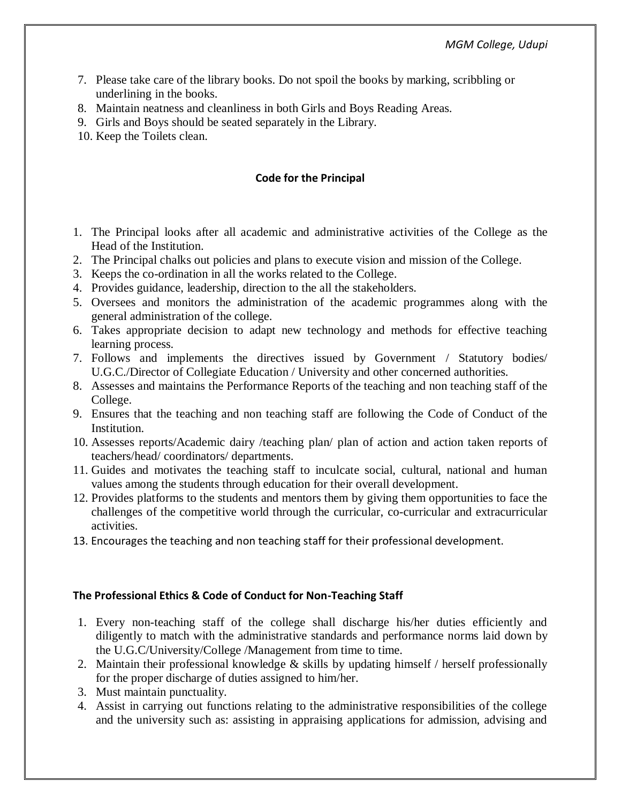- 7. Please take care of the library books. Do not spoil the books by marking, scribbling or underlining in the books.
- 8. Maintain neatness and cleanliness in both Girls and Boys Reading Areas.
- 9. Girls and Boys should be seated separately in the Library.
- 10. Keep the Toilets clean.

## **Code for the Principal**

- 1. The Principal looks after all academic and administrative activities of the College as the Head of the Institution.
- 2. The Principal chalks out policies and plans to execute vision and mission of the College.
- 3. Keeps the co-ordination in all the works related to the College.
- 4. Provides guidance, leadership, direction to the all the stakeholders.
- 5. Oversees and monitors the administration of the academic programmes along with the general administration of the college.
- 6. Takes appropriate decision to adapt new technology and methods for effective teaching learning process.
- 7. Follows and implements the directives issued by Government / Statutory bodies/ U.G.C./Director of Collegiate Education / University and other concerned authorities.
- 8. Assesses and maintains the Performance Reports of the teaching and non teaching staff of the College.
- 9. Ensures that the teaching and non teaching staff are following the Code of Conduct of the Institution.
- 10. Assesses reports/Academic dairy /teaching plan/ plan of action and action taken reports of teachers/head/ coordinators/ departments.
- 11. Guides and motivates the teaching staff to inculcate social, cultural, national and human values among the students through education for their overall development.
- 12. Provides platforms to the students and mentors them by giving them opportunities to face the challenges of the competitive world through the curricular, co-curricular and extracurricular activities.
- 13. Encourages the teaching and non teaching staff for their professional development.

#### **The Professional Ethics & Code of Conduct for Non-Teaching Staff**

- 1. Every non-teaching staff of the college shall discharge his/her duties efficiently and diligently to match with the administrative standards and performance norms laid down by the U.G.C/University/College /Management from time to time.
- 2. Maintain their professional knowledge & skills by updating himself / herself professionally for the proper discharge of duties assigned to him/her.
- 3. Must maintain punctuality.
- 4. Assist in carrying out functions relating to the administrative responsibilities of the college and the university such as: assisting in appraising applications for admission, advising and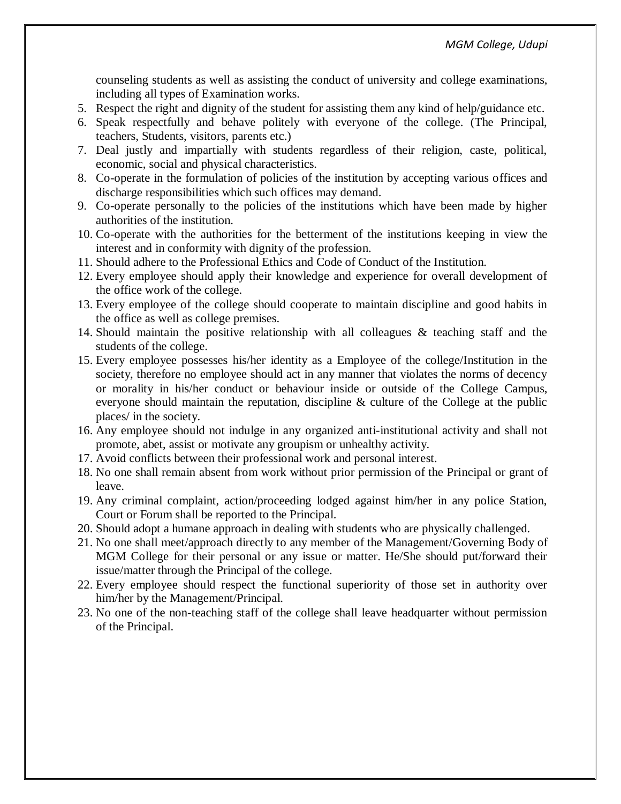counseling students as well as assisting the conduct of university and college examinations, including all types of Examination works.

- 5. Respect the right and dignity of the student for assisting them any kind of help/guidance etc.
- 6. Speak respectfully and behave politely with everyone of the college. (The Principal, teachers, Students, visitors, parents etc.)
- 7. Deal justly and impartially with students regardless of their religion, caste, political, economic, social and physical characteristics.
- 8. Co-operate in the formulation of policies of the institution by accepting various offices and discharge responsibilities which such offices may demand.
- 9. Co-operate personally to the policies of the institutions which have been made by higher authorities of the institution.
- 10. Co-operate with the authorities for the betterment of the institutions keeping in view the interest and in conformity with dignity of the profession.
- 11. Should adhere to the Professional Ethics and Code of Conduct of the Institution.
- 12. Every employee should apply their knowledge and experience for overall development of the office work of the college.
- 13. Every employee of the college should cooperate to maintain discipline and good habits in the office as well as college premises.
- 14. Should maintain the positive relationship with all colleagues & teaching staff and the students of the college.
- 15. Every employee possesses his/her identity as a Employee of the college/Institution in the society, therefore no employee should act in any manner that violates the norms of decency or morality in his/her conduct or behaviour inside or outside of the College Campus, everyone should maintain the reputation, discipline & culture of the College at the public places/ in the society.
- 16. Any employee should not indulge in any organized anti-institutional activity and shall not promote, abet, assist or motivate any groupism or unhealthy activity.
- 17. Avoid conflicts between their professional work and personal interest.
- 18. No one shall remain absent from work without prior permission of the Principal or grant of leave.
- 19. Any criminal complaint, action/proceeding lodged against him/her in any police Station, Court or Forum shall be reported to the Principal.
- 20. Should adopt a humane approach in dealing with students who are physically challenged.
- 21. No one shall meet/approach directly to any member of the Management/Governing Body of MGM College for their personal or any issue or matter. He/She should put/forward their issue/matter through the Principal of the college.
- 22. Every employee should respect the functional superiority of those set in authority over him/her by the Management/Principal.
- 23. No one of the non-teaching staff of the college shall leave headquarter without permission of the Principal.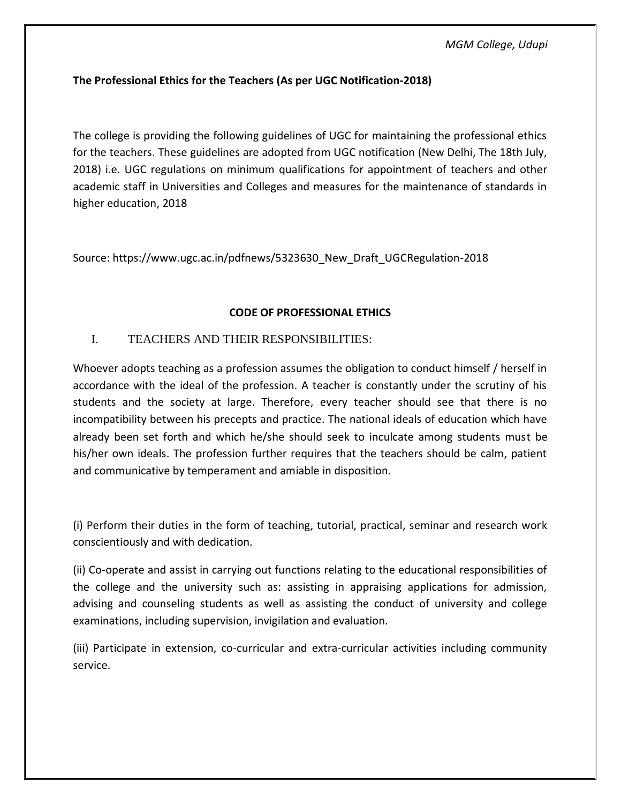## **The Professional Ethics for the Teachers (As per UGC Notification-2018)**

The college is providing the following guidelines of UGC for maintaining the professional ethics for the teachers. These guidelines are adopted from UGC notification (New Delhi, The 18th July, 2018) i.e. UGC regulations on minimum qualifications for appointment of teachers and other academic staff in Universities and Colleges and measures for the maintenance of standards in higher education, 2018

Source: https://www.ugc.ac.in/pdfnews/5323630\_New\_Draft\_UGCRegulation-2018

### **CODE OF PROFESSIONAL ETHICS**

## I. TEACHERS AND THEIR RESPONSIBILITIES:

Whoever adopts teaching as a profession assumes the obligation to conduct himself / herself in accordance with the ideal of the profession. A teacher is constantly under the scrutiny of his students and the society at large. Therefore, every teacher should see that there is no incompatibility between his precepts and practice. The national ideals of education which have already been set forth and which he/she should seek to inculcate among students must be his/her own ideals. The profession further requires that the teachers should be calm, patient and communicative by temperament and amiable in disposition.

(i) Perform their duties in the form of teaching, tutorial, practical, seminar and research work conscientiously and with dedication.

(ii) Co-operate and assist in carrying out functions relating to the educational responsibilities of the college and the university such as: assisting in appraising applications for admission, advising and counseling students as well as assisting the conduct of university and college examinations, including supervision, invigilation and evaluation.

(iii) Participate in extension, co-curricular and extra-curricular activities including community service.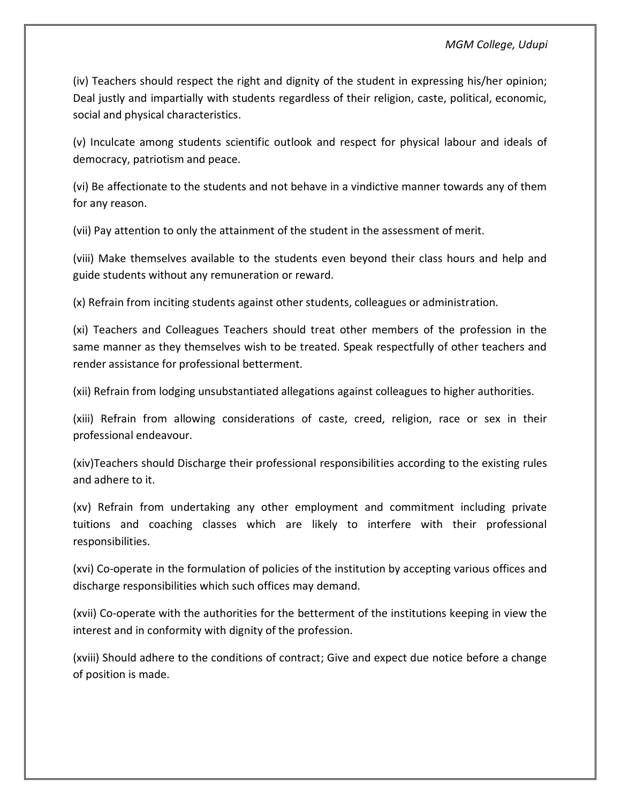(iv) Teachers should respect the right and dignity of the student in expressing his/her opinion; Deal justly and impartially with students regardless of their religion, caste, political, economic, social and physical characteristics.

(v) Inculcate among students scientific outlook and respect for physical labour and ideals of democracy, patriotism and peace.

(vi) Be affectionate to the students and not behave in a vindictive manner towards any of them for any reason.

(vii) Pay attention to only the attainment of the student in the assessment of merit.

(viii) Make themselves available to the students even beyond their class hours and help and guide students without any remuneration or reward.

(x) Refrain from inciting students against other students, colleagues or administration.

(xi) Teachers and Colleagues Teachers should treat other members of the profession in the same manner as they themselves wish to be treated. Speak respectfully of other teachers and render assistance for professional betterment.

(xii) Refrain from lodging unsubstantiated allegations against colleagues to higher authorities.

(xiii) Refrain from allowing considerations of caste, creed, religion, race or sex in their professional endeavour.

(xiv)Teachers should Discharge their professional responsibilities according to the existing rules and adhere to it.

(xv) Refrain from undertaking any other employment and commitment including private tuitions and coaching classes which are likely to interfere with their professional responsibilities.

(xvi) Co-operate in the formulation of policies of the institution by accepting various offices and discharge responsibilities which such offices may demand.

(xvii) Co-operate with the authorities for the betterment of the institutions keeping in view the interest and in conformity with dignity of the profession.

(xviii) Should adhere to the conditions of contract; Give and expect due notice before a change of position is made.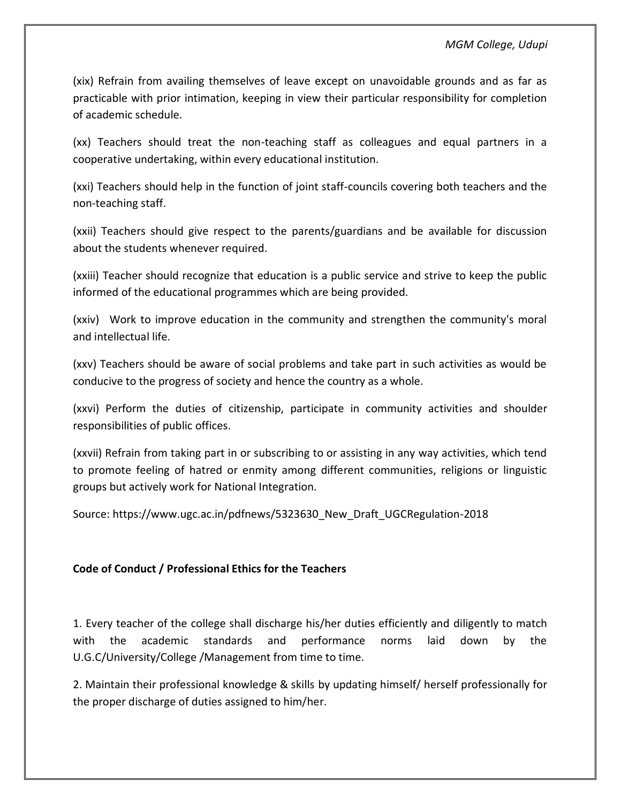(xix) Refrain from availing themselves of leave except on unavoidable grounds and as far as practicable with prior intimation, keeping in view their particular responsibility for completion of academic schedule.

(xx) Teachers should treat the non-teaching staff as colleagues and equal partners in a cooperative undertaking, within every educational institution.

(xxi) Teachers should help in the function of joint staff-councils covering both teachers and the non-teaching staff.

(xxii) Teachers should give respect to the parents/guardians and be available for discussion about the students whenever required.

(xxiii) Teacher should recognize that education is a public service and strive to keep the public informed of the educational programmes which are being provided.

(xxiv) Work to improve education in the community and strengthen the community's moral and intellectual life.

(xxv) Teachers should be aware of social problems and take part in such activities as would be conducive to the progress of society and hence the country as a whole.

(xxvi) Perform the duties of citizenship, participate in community activities and shoulder responsibilities of public offices.

(xxvii) Refrain from taking part in or subscribing to or assisting in any way activities, which tend to promote feeling of hatred or enmity among different communities, religions or linguistic groups but actively work for National Integration.

Source: https://www.ugc.ac.in/pdfnews/5323630\_New\_Draft\_UGCRegulation-2018

## **Code of Conduct / Professional Ethics for the Teachers**

1. Every teacher of the college shall discharge his/her duties efficiently and diligently to match with the academic standards and performance norms laid down by the U.G.C/University/College /Management from time to time.

2. Maintain their professional knowledge & skills by updating himself/ herself professionally for the proper discharge of duties assigned to him/her.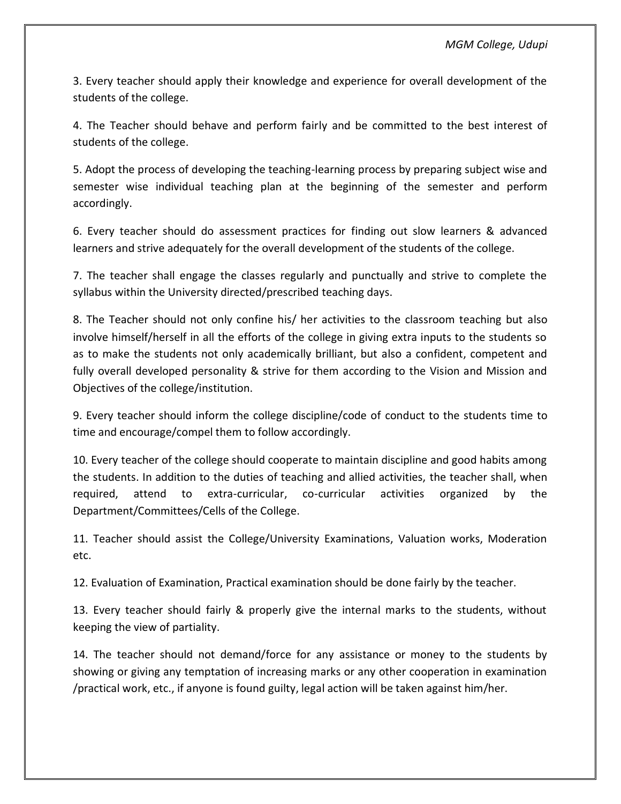3. Every teacher should apply their knowledge and experience for overall development of the students of the college.

4. The Teacher should behave and perform fairly and be committed to the best interest of students of the college.

5. Adopt the process of developing the teaching-learning process by preparing subject wise and semester wise individual teaching plan at the beginning of the semester and perform accordingly.

6. Every teacher should do assessment practices for finding out slow learners & advanced learners and strive adequately for the overall development of the students of the college.

7. The teacher shall engage the classes regularly and punctually and strive to complete the syllabus within the University directed/prescribed teaching days.

8. The Teacher should not only confine his/ her activities to the classroom teaching but also involve himself/herself in all the efforts of the college in giving extra inputs to the students so as to make the students not only academically brilliant, but also a confident, competent and fully overall developed personality & strive for them according to the Vision and Mission and Objectives of the college/institution.

9. Every teacher should inform the college discipline/code of conduct to the students time to time and encourage/compel them to follow accordingly.

10. Every teacher of the college should cooperate to maintain discipline and good habits among the students. In addition to the duties of teaching and allied activities, the teacher shall, when required, attend to extra-curricular, co-curricular activities organized by the Department/Committees/Cells of the College.

11. Teacher should assist the College/University Examinations, Valuation works, Moderation etc.

12. Evaluation of Examination, Practical examination should be done fairly by the teacher.

13. Every teacher should fairly & properly give the internal marks to the students, without keeping the view of partiality.

14. The teacher should not demand/force for any assistance or money to the students by showing or giving any temptation of increasing marks or any other cooperation in examination /practical work, etc., if anyone is found guilty, legal action will be taken against him/her.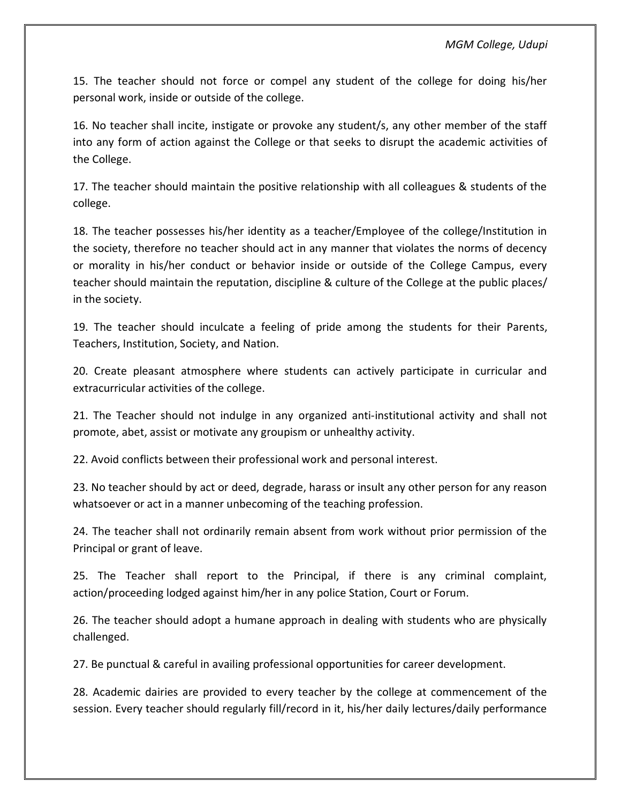15. The teacher should not force or compel any student of the college for doing his/her personal work, inside or outside of the college.

16. No teacher shall incite, instigate or provoke any student/s, any other member of the staff into any form of action against the College or that seeks to disrupt the academic activities of the College.

17. The teacher should maintain the positive relationship with all colleagues & students of the college.

18. The teacher possesses his/her identity as a teacher/Employee of the college/Institution in the society, therefore no teacher should act in any manner that violates the norms of decency or morality in his/her conduct or behavior inside or outside of the College Campus, every teacher should maintain the reputation, discipline & culture of the College at the public places/ in the society.

19. The teacher should inculcate a feeling of pride among the students for their Parents, Teachers, Institution, Society, and Nation.

20. Create pleasant atmosphere where students can actively participate in curricular and extracurricular activities of the college.

21. The Teacher should not indulge in any organized anti-institutional activity and shall not promote, abet, assist or motivate any groupism or unhealthy activity.

22. Avoid conflicts between their professional work and personal interest.

23. No teacher should by act or deed, degrade, harass or insult any other person for any reason whatsoever or act in a manner unbecoming of the teaching profession.

24. The teacher shall not ordinarily remain absent from work without prior permission of the Principal or grant of leave.

25. The Teacher shall report to the Principal, if there is any criminal complaint, action/proceeding lodged against him/her in any police Station, Court or Forum.

26. The teacher should adopt a humane approach in dealing with students who are physically challenged.

27. Be punctual & careful in availing professional opportunities for career development.

28. Academic dairies are provided to every teacher by the college at commencement of the session. Every teacher should regularly fill/record in it, his/her daily lectures/daily performance